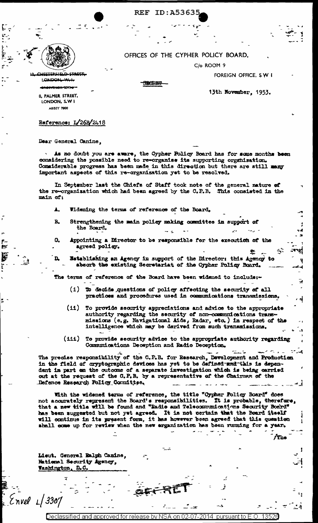ID:A5363 **REF** 

OFFICES OF THE CYPHER POLICY BOARD,

C/o ROOM 9

لتختلقه فللقا **LONDONL** للتعد

<del>WYENOR-337</del>3

13th November, 1953.

FOREIGN OFFICE, SWI

ل المالي العام الحي

A<sup>r</sup>io

8, PALMER STREET, LONDON, S.W I ABBEY 7800

## Reference:  $I/26B/2418$

Dear General Canine.

As no doubt you are aware, the Cypher Policy Board has for some months been considering the possible need to re-organise its supporting organization. Considerable progress has been made in this direction but there are still many important aspects of this re-organization yet to be resolved.

**SBORBT** 

In September last the Chiefs of Staff took note of the general nature of the re-organization which had been agreed by the C.P.B. This consisted in the main of:

- Widening the terms of reference of the Board.  $\blacktriangle$ .
- $\mathbf{R}$ Strengthening the main policy making committee in support of the Board.
- $\mathbf{Q}_\bullet$ Appointing a Director to be responsible for the execution of the agreed policy. 憃
	- Establishing an Agency in support of the Director: this Agency to absorb the existing Secretariat of the Cypher Policy Board.

The terms of reference of the Board have been widened to include:-

- (i) To decide questions of policy affecting the security of all practices and procedures used in communications transmissions.
- (ii) To provide security appreciations and advice to the appropriate authority regarding the security of non-communications transmissions (e.g. Navigational Aids, Radar, etc.) in respect of the intelligence which may be derived from such transmissions.
- (iii) To provide security advice to the appropriate authority regarding Communications Deception and Radio Deception.

The precise responsibility of the C.P.B. for Research, Development and Production in the field of cryptographic devices has yet to be defined and this is dependent in part on the outcome of a separate investigation which is being carried out at the request of the G.P.B. by a representative of the Chairman of the Defence Research Policy Committee.

With the widened terms of reference, the title "Oygher Policy Board" does not accurately represent the Board's responsibilities. It is probable, therefore, that a new title will be found and "Radio and Telecommunications Security Boskd" has been suggested but not yet agreed. It is not certain that the Board itself will continue in its present form, it has however been agreed that this question shall come up for review when the new erganization has been running for a year.

Lieut. General Ralph Canine, National Security Agency, Washington, D.C.

 $Envel$   $1/3307$ 

sified and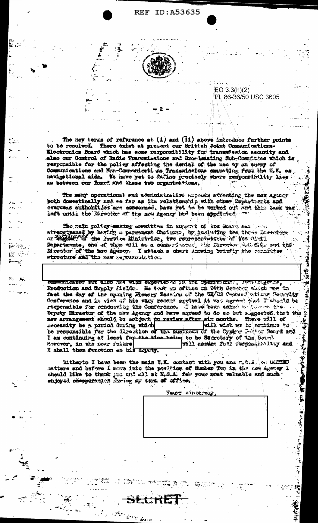

E.

 $\ddot{H}$  $\mathbf{k}$  .

÷2°

 $K_{\rm{eff}}=4.5$ 

rin <del>ist</del>el

 $EO 3.3(h)(2)$ PL 86-36/50 USC 3605

"大学"

Ŷ. ج:

The new terms of reference at  $(i)$  and  $(ii)$  above introduce further points to be resolved. There exist at present our British Joint Communations-Electronics Board which has some responsibility for transmission security and also our Control of Radie Transmissions and Brosdensting Sub-Committee which is responsible for the policy affecting the denial of the use by an energ of Communications and Non-Communications Transmissions emanating from the U.E. as navigational aids. We have yet to datine precisely where responsibility lies as between our fixers and these two organizations.

The many operational and administrative argonis affecting the new Agency both desestically and se far as its relationship with other Departments and overseas authorities are comearned, have get to be worked out and this task was left until the Director of the new Agency had been appointed.

The main policy maning consitties in suggers of ant Board ses from strengthened by bating a parmament Chatmen, by including the three farester. Bepartments, one of them will be a communication the Director 2.6.6.9, and the structure and the any representation.

<u>untarion dan otas tex arma exdensive ta ha rotalingan "parational"</u> Production and Supply fields. Be test up afflice on 26th Cotober told we in fact the day of the opening Flexary Session of the UK/US Geven which Federity flonterence and in view of his way recent system it was agreed that Fishurld be responsible for conducting the Conference. I have been asked welcomed the. Deputy Director of the new Agency and have agreed to do ac tul suggested that the new arrangement should be subject, to review after six months. There will of necessity be a period during which will wish as to estima to be responsible for the Skrestion of the nusiness of the Cyphon Point Poerd and I am continuing at least for the time hednq to be Secretary of the Branch. Morever, in the near future will assess full responsibility and I shell then sunction as his doping.

Mitherto I have been the mein U.E. contact with you ame mit.i. (a) WEED antters and before i anve into the position of Rusber Two in the new Agency 1 sheeld like to thank you and all at M.S.A. for your nost valuable and much enjoyed computation faring my texa of office.

.<br>Przypis

Tage waxay